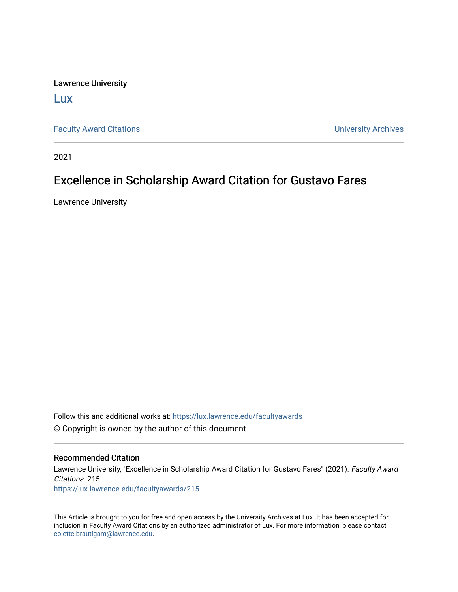Lawrence University

[Lux](https://lux.lawrence.edu/)

[Faculty Award Citations](https://lux.lawrence.edu/facultyawards) **Example 2018** 12 and 2018 12 and 2019 12 and 2019 12 and 2019 12 and 2019 12 and 2019 12 and 2019 12 and 2019 12 and 2019 12 and 2019 12 and 2019 12 and 2019 12 and 2019 12 and 2019 12 and 2019 12

2021

## Excellence in Scholarship Award Citation for Gustavo Fares

Lawrence University

Follow this and additional works at: [https://lux.lawrence.edu/facultyawards](https://lux.lawrence.edu/facultyawards?utm_source=lux.lawrence.edu%2Ffacultyawards%2F215&utm_medium=PDF&utm_campaign=PDFCoverPages)  © Copyright is owned by the author of this document.

## Recommended Citation

Lawrence University, "Excellence in Scholarship Award Citation for Gustavo Fares" (2021). Faculty Award Citations. 215. [https://lux.lawrence.edu/facultyawards/215](https://lux.lawrence.edu/facultyawards/215?utm_source=lux.lawrence.edu%2Ffacultyawards%2F215&utm_medium=PDF&utm_campaign=PDFCoverPages) 

This Article is brought to you for free and open access by the University Archives at Lux. It has been accepted for inclusion in Faculty Award Citations by an authorized administrator of Lux. For more information, please contact [colette.brautigam@lawrence.edu.](mailto:colette.brautigam@lawrence.edu)